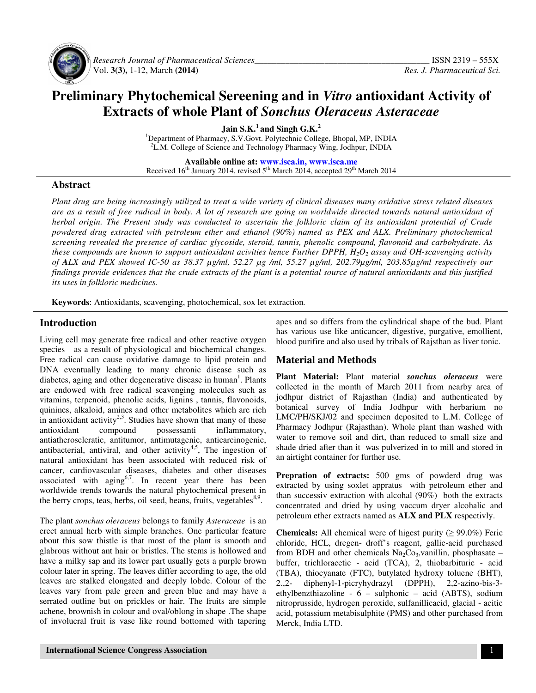

 *Research Journal of Pharmaceutical Sciences\_\_\_\_\_\_\_\_\_\_\_\_\_\_\_\_\_\_\_\_\_\_\_\_\_\_\_\_\_\_\_\_\_\_\_\_\_\_\_\_* ISSN 2319 – 555X Vol. **3(3),** 1-12, March **(2014)** *Res. J. Pharmaceutical Sci.*

## **Preliminary Phytochemical Sereening and in** *Vitro* **antioxidant Activity of Extracts of whole Plant of** *Sonchus Oleraceus Asteraceae*

**Jain S.K.<sup>1</sup>and Singh G.K.<sup>2</sup>**

<sup>1</sup>Department of Pharmacy, S.V.Govt. Polytechnic College, Bhopal, MP, INDIA <sup>2</sup>L.M. College of Science and Technology Pharmacy Wing, Jodhpur, INDIA

**Available online at: www.isca.in, www.isca.me** Received 16<sup>th</sup> January 2014, revised 5<sup>th</sup> March 2014, accepted 29<sup>th</sup> March 2014

#### **Abstract**

*Plant drug are being increasingly utilized to treat a wide variety of clinical diseases many oxidative stress related diseases are as a result of free radical in body. A lot of research are going on worldwide directed towards natural antioxidant of herbal origin. The Present study was conducted to ascertain the folkloric claim of its antioxidant protential of Crude*  powdered drug extracted with petroleum ether and ethanol (90%) named as PEX and ALX. Preliminary photochemical *screening revealed the presence of cardiac glycoside, steroid, tannis, phenolic compound, flavonoid and carbohydrate. As these compounds are known to support antioxidant acivities hence Further DPPH, H2O2 assay and OH-scavenging activity of ALX and PEX showed IC-50 as 38.37 µg/ml, 52.27 µg /ml, 55.27 µg/ml, 202.79µg/ml, 203.85µg/ml respectively our findings provide evidences that the crude extracts of the plant is a potential source of natural antioxidants and this justified its uses in folkloric medicines.* 

**Keywords**: Antioxidants, scavenging, photochemical, sox let extraction*.*

#### **Introduction**

Living cell may generate free radical and other reactive oxygen species as a result of physiological and biochemical changes. Free radical can cause oxidative damage to lipid protein and DNA eventually leading to many chronic disease such as diabetes, aging and other degenerative disease in human<sup>1</sup>. Plants are endowed with free radical scavenging molecules such as vitamins, terpenoid, phenolic acids, lignins , tannis, flavonoids, quinines, alkaloid, amines and other metabolites which are rich in antioxidant activity<sup>2,3</sup>. Studies have shown that many of these antioxidant compound possessanti inflammatory, antiatheroscleratic, antitumor, antimutagenic, anticarcinogenic, antibacterial, antiviral, and other activity<sup>4,5</sup>, The ingestion of natural antioxidant has been associated with reduced risk of cancer, cardiovascular diseases, diabetes and other diseases associated with  $aging^{6,7}$ . In recent year there has been worldwide trends towards the natural phytochemical present in the berry crops, teas, herbs, oil seed, beans, fruits, vegetables<sup>8,9</sup>.

The plant *sonchus oleraceus* belongs to family *Asteraceae* is an erect annual herb with simple branches. One particular feature about this sow thistle is that most of the plant is smooth and glabrous without ant hair or bristles. The stems is hollowed and have a milky sap and its lower part usually gets a purple brown colour later in spring. The leaves differ according to age, the old leaves are stalked elongated and deeply lobde. Colour of the leaves vary from pale green and green blue and may have a serrated outline but on prickles or hair. The fruits are simple achene, brownish in colour and oval/oblong in shape .The shape of involucral fruit is vase like round bottomed with tapering

apes and so differs from the cylindrical shape of the bud. Plant has various use like anticancer, digestive, purgative, emollient, blood purifire and also used by tribals of Rajsthan as liver tonic.

#### **Material and Methods**

**Plant Material:** Plant material *sonchus oleraceus* were collected in the month of March 2011 from nearby area of jodhpur district of Rajasthan (India) and authenticated by botanical survey of India Jodhpur with herbarium no LMC/PH/SKJ/02 and specimen deposited to L.M. College of Pharmacy Jodhpur (Rajasthan). Whole plant than washed with water to remove soil and dirt, than reduced to small size and shade dried after than it was pulverized in to mill and stored in an airtight container for further use.

**Prepration of extracts:** 500 gms of powderd drug was extracted by using soxlet appratus with petroleum ether and than successiv extraction with alcohal (90%) both the extracts concentrated and dried by using vaccum dryer alcohalic and petroleum ether extracts named as **ALX and PLX** respectivly.

**Chemicals:** All chemical were of higest purity ( $\geq$  99.0%) Feric chloride, HCL, dregen- droff's reagent, gallic-acid purchased from BDH and other chemicals  $Na<sub>2</sub>Co<sub>3</sub>$ , vanillin, phosphasate – buffer, trichloracetic - acid (TCA), 2, thiobarbituric - acid (TBA), thiocyanate (FTC), butylated hydroxy toluene (BHT), 2.,2- diphenyl-1-picryhydrazyl (DPPH), 2,2-azino-bis-3 ethylbenzthiazoline - 6 – sulphonic – acid (ABTS), sodium nitroprusside, hydrogen peroxide, sulfanillicacid, glacial - acitic acid, potassium metabisulphite (PMS) and other purchased from Merck, India LTD.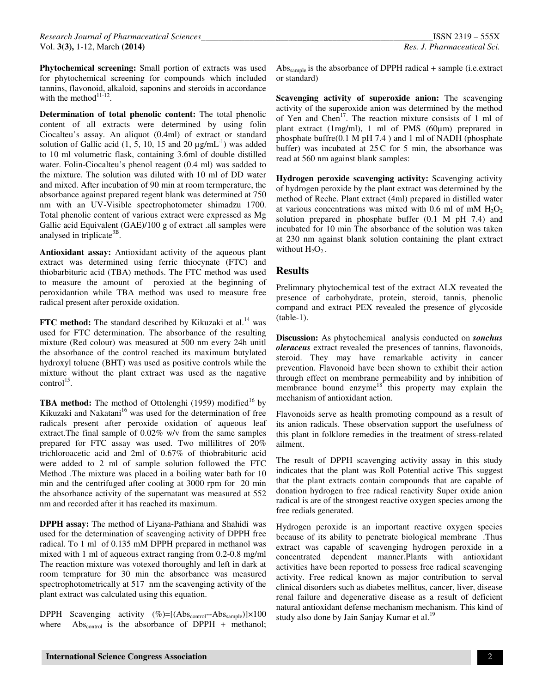**Phytochemical screening:** Small portion of extracts was used for phytochemical screening for compounds which included tannins, flavonoid, alkaloid, saponins and steroids in accordance with the method $11-12$ .

**Determination of total phenolic content:** The total phenolic content of all extracts were determined by using folin Ciocalteu's assay. An aliquot (0.4ml) of extract or standard solution of Gallic acid (1, 5, 10, 15 and 20  $\mu$ g/mL<sup>-1</sup>) was added to 10 ml volumetric flask, containing 3.6ml of double distilled water. Folin-Ciocalteu's phenol reagent (0.4 ml) was sadded to the mixture. The solution was diluted with 10 ml of DD water and mixed. After incubation of 90 min at room termperature, the absorbance against prepared regent blank was determined at 750 nm with an UV-Visible spectrophotometer shimadzu 1700. Total phenolic content of various extract were expressed as Mg Gallic acid Equivalent (GAE)/100 g of extract .all samples were analysed in triplicate<sup>3B</sup>.

**Antioxidant assay:** Antioxidant activity of the aqueous plant extract was determined using ferric thiocynate (FTC) and thiobarbituric acid (TBA) methods. The FTC method was used to measure the amount of peroxied at the beginning of peroxidantion while TBA method was used to measure free radical present after peroxide oxidation.

**FTC method:** The standard described by Kikuzaki et al.<sup>14</sup> was used for FTC determination. The absorbance of the resulting mixture (Red colour) was measured at 500 nm every 24h unitl the absorbance of the control reached its maximum butylated hydroxyl toluene (BHT) was used as positive controls while the mixture without the plant extract was used as the nagative  $control^{15}$ .

**TBA method:** The method of Ottolenghi (1959) modified<sup>16</sup> by Kikuzaki and Nakatani<sup>16</sup> was used for the determination of free radicals present after peroxide oxidation of aqueous leaf extract.The final sample of 0.02% w/v from the same samples prepared for FTC assay was used. Two millilitres of 20% trichloroacetic acid and 2ml of 0.67% of thiobrabituric acid were added to 2 ml of sample solution followed the FTC Method .The mixture was placed in a boiling water bath for 10 min and the centrifuged after cooling at 3000 rpm for 20 min the absorbance activity of the supernatant was measured at 552 nm and recorded after it has reached its maximum.

**DPPH assay:** The method of Liyana-Pathiana and Shahidi was used for the determination of scavenging activity of DPPH free radical. To 1 ml of 0.135 mM DPPH prepared in methanol was mixed with 1 ml of aqueous extract ranging from 0.2-0.8 mg/ml The reaction mixture was votexed thoroughly and left in dark at room temprature for 30 min the absorbance was measured spectrophotometrically at 517 nm the scavenging activity of the plant extract was calculated using this equation.

DPPH Scavenging activity  $(\%)=[(\text{Abs}_{\text{control}} - \text{Abs}_{\text{sample}})] \times 100$ where  $Abs_{control}$  is the absorbance of DPPH + methanol;

Abs<sub>sample</sub> is the absorbance of DPPH radical  $+$  sample (i.e. extract or standard)

**Scavenging activity of superoxide anion:** The scavenging activity of the superoxide anion was determined by the method of Yen and Chen<sup>17</sup>. The reaction mixture consists of 1 ml of plant extract (1mg/ml), 1 ml of PMS (60µm) preprared in phosphate buffre(0.1 M pH 7.4 ) and 1 ml of NADH (phosphate buffer) was incubated at  $25C$  for 5 min, the absorbance was read at 560 nm against blank samples:

**Hydrogen peroxide scavenging activity:** Scavenging activity of hydrogen peroxide by the plant extract was determined by the method of Reche. Plant extract (4ml) prepared in distilled water at various concentrations was mixed with 0.6 ml of mM  $H_2O_2$ solution prepared in phosphate buffer (0.1 M pH 7.4) and incubated for 10 min The absorbance of the solution was taken at 230 nm against blank solution containing the plant extract without  $H_2O_2$ .

#### **Results**

Prelimnary phytochemical test of the extract ALX reveated the presence of carbohydrate, protein, steroid, tannis, phenolic compand and extract PEX revealed the presence of glycoside (table-1).

**Discussion:** As phytochemical analysis conducted on *sonchus oleraceus* extract revealed the presences of tannins, flavonoids, steroid. They may have remarkable activity in cancer prevention. Flavonoid have been shown to exhibit their action through effect on membrane permeability and by inhibition of membrance bound enzyme $18^{\circ}$  this property may explain the mechanism of antioxidant action.

Flavonoids serve as health promoting compound as a result of its anion radicals. These observation support the usefulness of this plant in folklore remedies in the treatment of stress-related ailment.

The result of DPPH scavenging activity assay in this study indicates that the plant was Roll Potential active This suggest that the plant extracts contain compounds that are capable of donation hydrogen to free radical reactivity Super oxide anion radical is are of the strongest reactive oxygen species among the free redials generated.

Hydrogen peroxide is an important reactive oxygen species because of its ability to penetrate biological membrane .Thus extract was capable of scavenging hydrogen peroxide in a concentrated dependent manner.Plants with antioxidant activities have been reported to possess free radical scavenging activity. Free redical known as major contribution to serval clinical disorders such as diabetes mellitus, cancer, liver, disease renal failure and degenerative disease as a result of deficient natural antioxidant defense mechanism mechanism. This kind of study also done by Jain Sanjay Kumar et al.<sup>19</sup>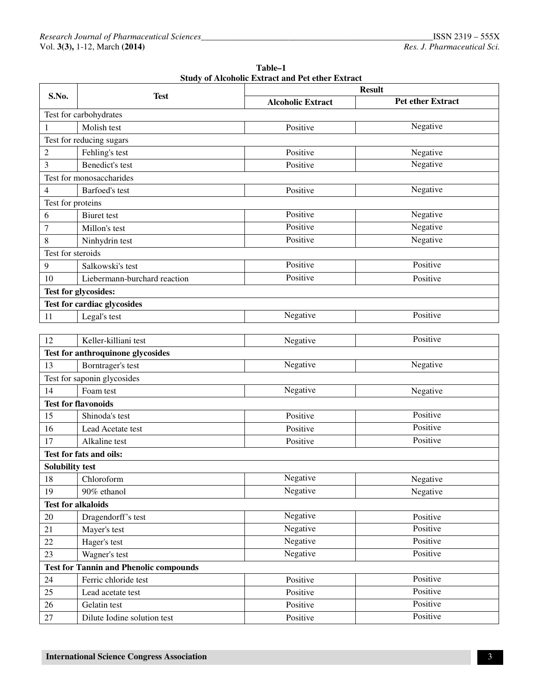| Table-1                                                 |
|---------------------------------------------------------|
| <b>Study of Alcoholic Extract and Pet ether Extract</b> |

| S.No.                  | <b>Test</b>                                   | <b>Result</b>            |                          |  |  |  |  |
|------------------------|-----------------------------------------------|--------------------------|--------------------------|--|--|--|--|
|                        |                                               | <b>Alcoholic Extract</b> | <b>Pet ether Extract</b> |  |  |  |  |
|                        | Test for carbohydrates                        |                          |                          |  |  |  |  |
| 1                      | Molish test                                   | Positive                 | Negative                 |  |  |  |  |
|                        | Test for reducing sugars                      |                          |                          |  |  |  |  |
| $\overline{c}$         | Fehling's test                                | Positive                 | Negative                 |  |  |  |  |
| 3                      | Benedict's test                               | Positive                 | Negative                 |  |  |  |  |
|                        | Test for monosaccharides                      |                          |                          |  |  |  |  |
| 4                      | Barfoed's test                                | Positive                 | Negative                 |  |  |  |  |
| Test for proteins      |                                               |                          |                          |  |  |  |  |
| 6                      | Biuret test                                   | Positive                 | Negative                 |  |  |  |  |
| 7                      | Millon's test                                 | Positive                 | Negative                 |  |  |  |  |
| 8                      | Ninhydrin test                                | Positive                 | Negative                 |  |  |  |  |
| Test for steroids      |                                               |                          |                          |  |  |  |  |
| 9                      | Salkowski's test                              | Positive                 | Positive                 |  |  |  |  |
| 10                     | Liebermann-burchard reaction                  | Positive                 | Positive                 |  |  |  |  |
|                        | Test for glycosides:                          |                          |                          |  |  |  |  |
|                        | Test for cardiac glycosides                   |                          |                          |  |  |  |  |
| 11                     | Legal's test                                  | Negative                 | Positive                 |  |  |  |  |
|                        |                                               |                          |                          |  |  |  |  |
| 12                     | Keller-killiani test                          | Negative                 | Positive                 |  |  |  |  |
|                        | Test for anthroquinone glycosides             |                          |                          |  |  |  |  |
| 13                     | Borntrager's test                             | Negative                 | Negative                 |  |  |  |  |
|                        | Test for saponin glycosides                   |                          |                          |  |  |  |  |
| 14                     | Foam test                                     | Negative                 | Negative                 |  |  |  |  |
|                        | <b>Test for flavonoids</b>                    |                          |                          |  |  |  |  |
| 15                     | Shinoda's test                                | Positive                 | Positive                 |  |  |  |  |
| 16                     | Lead Acetate test                             | Positive                 | Positive                 |  |  |  |  |
| 17                     | Alkaline test                                 | Positive                 | Positive                 |  |  |  |  |
|                        | Test for fats and oils:                       |                          |                          |  |  |  |  |
| <b>Solubility test</b> |                                               |                          |                          |  |  |  |  |
| 18                     | Chloroform                                    | Negative                 | Negative                 |  |  |  |  |
| 19                     | 90% ethanol                                   | Negative                 | Negative                 |  |  |  |  |
|                        | <b>Test for alkaloids</b>                     |                          |                          |  |  |  |  |
| 20                     | Dragendorff's test                            | Negative                 | Positive                 |  |  |  |  |
| 21                     | Mayer's test                                  | Negative                 | Positive                 |  |  |  |  |
| 22                     | Hager's test                                  | Negative                 | Positive                 |  |  |  |  |
| 23                     | Wagner's test                                 | Negative                 | Positive                 |  |  |  |  |
|                        | <b>Test for Tannin and Phenolic compounds</b> |                          |                          |  |  |  |  |
| 24                     | Ferric chloride test                          | Positive                 | Positive                 |  |  |  |  |
| 25                     | Lead acetate test                             | Positive                 | Positive                 |  |  |  |  |
| $26\,$                 | Gelatin test                                  | Positive                 | Positive                 |  |  |  |  |
| 27                     | Dilute Iodine solution test                   | Positive                 | Positive                 |  |  |  |  |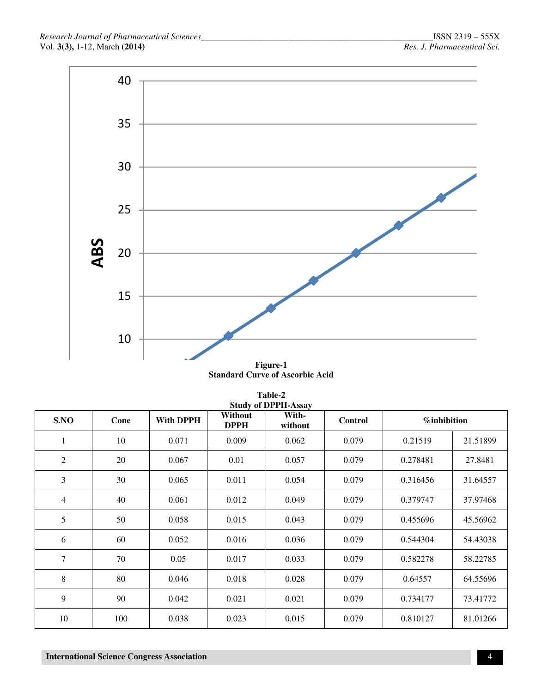

**Standard Curve of Ascorbic Acid** 

| Table-2<br><b>Study of DPPH-Assay</b> |                          |       |                        |                  |                |                     |          |
|---------------------------------------|--------------------------|-------|------------------------|------------------|----------------|---------------------|----------|
| S.NO                                  | <b>With DPPH</b><br>Cone |       | Without<br><b>DPPH</b> | With-<br>without | <b>Control</b> | <i>%</i> inhibition |          |
| 1                                     | 10                       | 0.071 | 0.009                  | 0.062            | 0.079          | 0.21519             | 21.51899 |
| 2                                     | 20                       | 0.067 | 0.01                   | 0.057            | 0.079          | 0.278481            | 27.8481  |
| 3                                     | 30                       | 0.065 | 0.011                  | 0.054            | 0.079          | 0.316456            | 31.64557 |
| $\overline{4}$                        | 40                       | 0.061 | 0.012                  | 0.049            | 0.079          | 0.379747            | 37.97468 |
| 5                                     | 50                       | 0.058 | 0.015                  | 0.043            | 0.079          | 0.455696            | 45.56962 |
| 6                                     | 60                       | 0.052 | 0.016                  | 0.036            | 0.079          | 0.544304            | 54.43038 |
| 7                                     | 70                       | 0.05  | 0.017                  | 0.033            | 0.079          | 0.582278            | 58.22785 |
| 8                                     | 80                       | 0.046 | 0.018                  | 0.028            | 0.079          | 0.64557             | 64.55696 |
| 9                                     | 90                       | 0.042 | 0.021                  | 0.021            | 0.079          | 0.734177            | 73.41772 |
| 10                                    | 100                      | 0.038 | 0.023                  | 0.015            | 0.079          | 0.810127            | 81.01266 |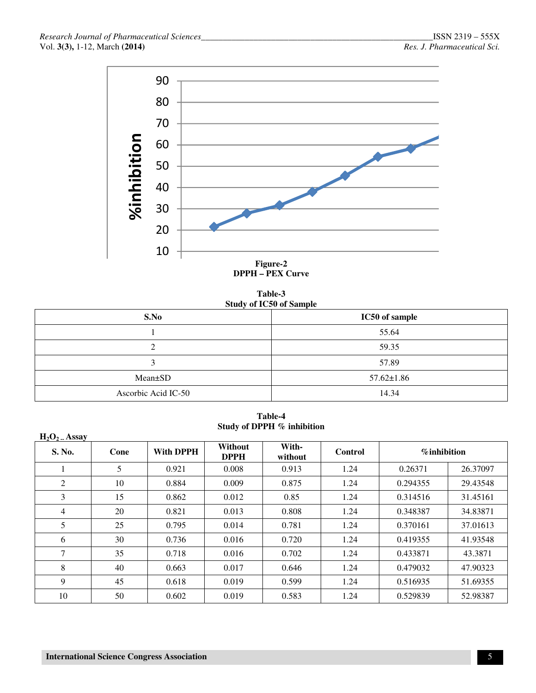

**Table-3 Study of IC50 of Sample**

| S.No                | IC50 of sample   |
|---------------------|------------------|
|                     | 55.64            |
| ⌒<br>↵              | 59.35            |
| ⌒<br>ت              | 57.89            |
| Mean±SD             | $57.62 \pm 1.86$ |
| Ascorbic Acid IC-50 | 14.34            |

**Table-4 Study of DPPH % inhibition** 

| $H_2O_2$ . Assay |      |                  |                               |                  |                |                |          |
|------------------|------|------------------|-------------------------------|------------------|----------------|----------------|----------|
| S. No.           | Cone | <b>With DPPH</b> | <b>Without</b><br><b>DPPH</b> | With-<br>without | <b>Control</b> | $%$ inhibition |          |
| 1                | 5    | 0.921            | 0.008                         | 0.913            | 1.24           | 0.26371        | 26.37097 |
| 2                | 10   | 0.884            | 0.009                         | 0.875            | 1.24           | 0.294355       | 29.43548 |
| 3                | 15   | 0.862            | 0.012                         | 0.85             | 1.24           | 0.314516       | 31.45161 |
| 4                | 20   | 0.821            | 0.013                         | 0.808            | 1.24           | 0.348387       | 34.83871 |
| 5                | 25   | 0.795            | 0.014                         | 0.781            | 1.24           | 0.370161       | 37.01613 |
| 6                | 30   | 0.736            | 0.016                         | 0.720            | 1.24           | 0.419355       | 41.93548 |
| 7                | 35   | 0.718            | 0.016                         | 0.702            | 1.24           | 0.433871       | 43.3871  |
| 8                | 40   | 0.663            | 0.017                         | 0.646            | 1.24           | 0.479032       | 47.90323 |
| 9                | 45   | 0.618            | 0.019                         | 0.599            | 1.24           | 0.516935       | 51.69355 |
| 10               | 50   | 0.602            | 0.019                         | 0.583            | 1.24           | 0.529839       | 52.98387 |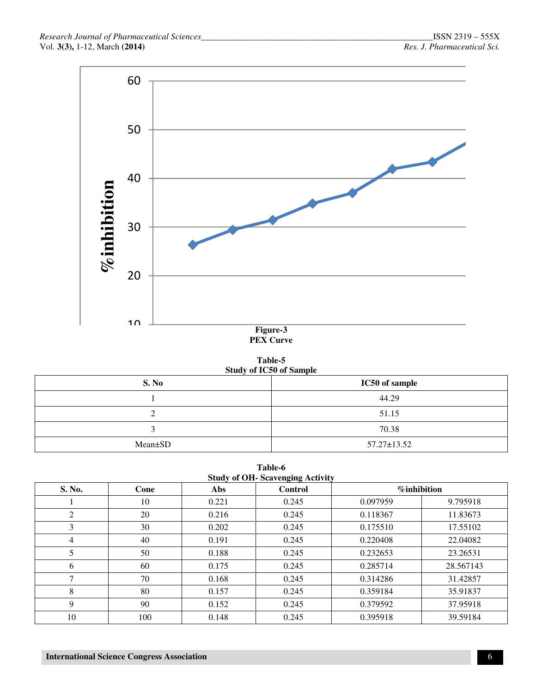

# **PEX Curve**

| Table-5                        |  |  |  |  |  |
|--------------------------------|--|--|--|--|--|
| <b>Study of IC50 of Sample</b> |  |  |  |  |  |
|                                |  |  |  |  |  |

| S. No   | IC50 of sample    |
|---------|-------------------|
|         | 44.29             |
| ∼       | 51.15             |
|         | 70.38             |
| Mean±SD | $57.27 \pm 13.52$ |

**Table-6 Study of OH- Scavenging Activity** 

|        | 5.00 |       |                |                |           |  |  |  |
|--------|------|-------|----------------|----------------|-----------|--|--|--|
| S. No. | Cone | Abs   | <b>Control</b> | $%$ inhibition |           |  |  |  |
|        | 10   | 0.221 | 0.245          | 0.097959       | 9.795918  |  |  |  |
| 2      | 20   | 0.216 | 0.245          | 0.118367       | 11.83673  |  |  |  |
| 3      | 30   | 0.202 | 0.245          | 0.175510       | 17.55102  |  |  |  |
| 4      | 40   | 0.191 | 0.245          | 0.220408       | 22.04082  |  |  |  |
| 5      | 50   | 0.188 | 0.245          | 0.232653       | 23.26531  |  |  |  |
| 6      | 60   | 0.175 | 0.245          | 0.285714       | 28.567143 |  |  |  |
| ⇁      | 70   | 0.168 | 0.245          | 0.314286       | 31.42857  |  |  |  |
| 8      | 80   | 0.157 | 0.245          | 0.359184       | 35.91837  |  |  |  |
| 9      | 90   | 0.152 | 0.245          | 0.379592       | 37.95918  |  |  |  |
| 10     | 100  | 0.148 | 0.245          | 0.395918       | 39.59184  |  |  |  |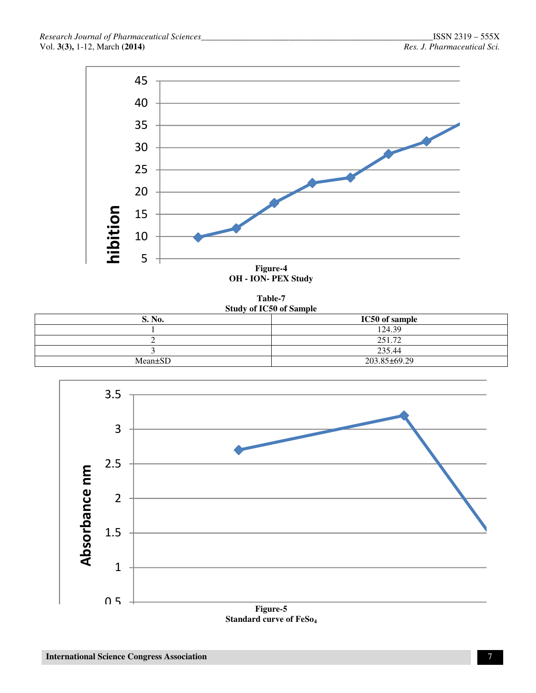

**Table-7 Study of IC50 of Sample** 

| S. No.        | IC50 of sample |  |  |
|---------------|----------------|--|--|
|               | 124.39         |  |  |
|               | 251.72         |  |  |
|               | 235.44         |  |  |
| $Mean \pm SD$ | 203.85±69.29   |  |  |



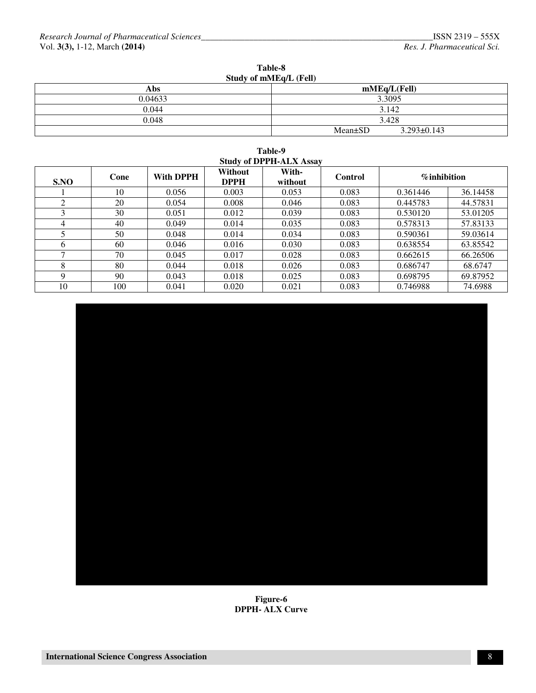| Table-8                |  |
|------------------------|--|
| Study of mMEq/L (Fell) |  |

| <b>Abs</b> | mMEq/L(FeII)                       |  |  |  |
|------------|------------------------------------|--|--|--|
| 0.04633    | 3.3095                             |  |  |  |
| 0.044      | 3.142                              |  |  |  |
| 0.048      | 3.428                              |  |  |  |
|            | $3.293 \pm 0.143$<br>$Mean \pm SD$ |  |  |  |

| Table-9                                                                        |     |       |       |       |                |                 |          |  |
|--------------------------------------------------------------------------------|-----|-------|-------|-------|----------------|-----------------|----------|--|
| <b>Study of DPPH-ALX Assay</b>                                                 |     |       |       |       |                |                 |          |  |
| Without<br>With-<br><b>With DPPH</b><br>Cone<br>S.NO<br><b>DPPH</b><br>without |     |       |       |       | <b>Control</b> | $\%$ inhibition |          |  |
|                                                                                | 10  | 0.056 | 0.003 | 0.053 | 0.083          | 0.361446        | 36.14458 |  |
| 2                                                                              | 20  | 0.054 | 0.008 | 0.046 | 0.083          | 0.445783        | 44.57831 |  |
| 3                                                                              | 30  | 0.051 | 0.012 | 0.039 | 0.083          | 0.530120        | 53.01205 |  |
| 4                                                                              | 40  | 0.049 | 0.014 | 0.035 | 0.083          | 0.578313        | 57.83133 |  |
|                                                                                | 50  | 0.048 | 0.014 | 0.034 | 0.083          | 0.590361        | 59.03614 |  |
| 6                                                                              | 60  | 0.046 | 0.016 | 0.030 | 0.083          | 0.638554        | 63.85542 |  |
| $\mathcal{I}$                                                                  | 70  | 0.045 | 0.017 | 0.028 | 0.083          | 0.662615        | 66.26506 |  |
| 8                                                                              | 80  | 0.044 | 0.018 | 0.026 | 0.083          | 0.686747        | 68.6747  |  |
| 9                                                                              | 90  | 0.043 | 0.018 | 0.025 | 0.083          | 0.698795        | 69.87952 |  |
| 10                                                                             | 100 | 0.041 | 0.020 | 0.021 | 0.083          | 0.746988        | 74.6988  |  |



**Figure-6 DPPH- ALX Curve**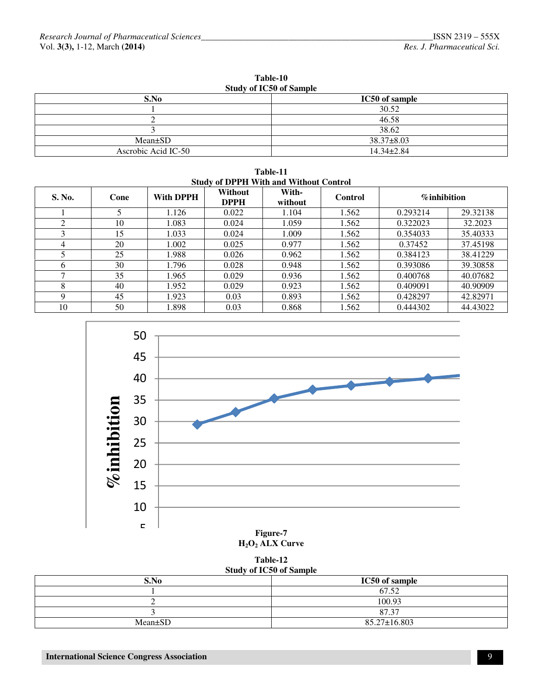| Table-10<br><b>Study of IC50 of Sample</b> |                  |  |  |
|--------------------------------------------|------------------|--|--|
| S.No                                       | IC50 of sample   |  |  |
|                                            | 30.52            |  |  |
|                                            | 46.58            |  |  |
|                                            | 38.62            |  |  |
| $Mean \pm SD$                              | $38.37 \pm 8.03$ |  |  |
| Ascrobic Acid IC-50                        | $14.34 \pm 2.84$ |  |  |

**Table-11 Study of DPPH With and Without Control** 

| S. No. | Cone | With DPPH | <b>Without</b><br><b>DPPH</b> | With-<br>without | <b>Control</b> | $%$ inhibition |          |
|--------|------|-----------|-------------------------------|------------------|----------------|----------------|----------|
|        |      | 1.126     | 0.022                         | 1.104            | 1.562          | 0.293214       | 29.32138 |
| 2      | 10   | 1.083     | 0.024                         | 1.059            | 1.562          | 0.322023       | 32.2023  |
| 3      | 15   | 1.033     | 0.024                         | 1.009            | 1.562          | 0.354033       | 35.40333 |
| 4      | 20   | 1.002     | 0.025                         | 0.977            | 1.562          | 0.37452        | 37.45198 |
|        | 25   | 1.988     | 0.026                         | 0.962            | 1.562          | 0.384123       | 38.41229 |
| 6      | 30   | 1.796     | 0.028                         | 0.948            | 1.562          | 0.393086       | 39.30858 |
| ⇁      | 35   | 1.965     | 0.029                         | 0.936            | 1.562          | 0.400768       | 40.07682 |
| 8      | 40   | 1.952     | 0.029                         | 0.923            | 1.562          | 0.409091       | 40.90909 |
| 9      | 45   | 1.923     | 0.03                          | 0.893            | 1.562          | 0.428297       | 42.82971 |
| 10     | 50   | 1.898     | 0.03                          | 0.868            | 1.562          | 0.444302       | 44.43022 |



**Table-12 Study of IC50 of Sample** 

| Study of ICSV of Sample |  |  |  |
|-------------------------|--|--|--|
| IC50 of sample          |  |  |  |
| 67.52                   |  |  |  |
| 100.93                  |  |  |  |
| 87.37                   |  |  |  |
| 85.27±16.803            |  |  |  |
|                         |  |  |  |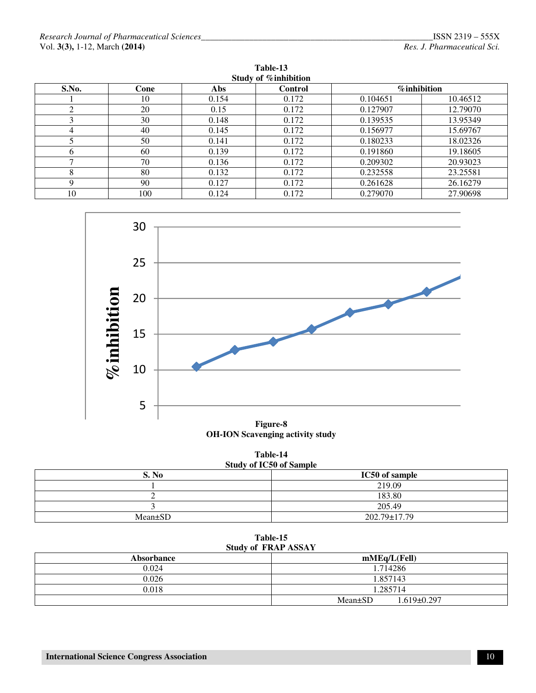| Study of % inhibition |      |       |         |                     |          |  |
|-----------------------|------|-------|---------|---------------------|----------|--|
| S.No.                 | Cone | Abs   | Control | <b>%</b> inhibition |          |  |
|                       | 10   | 0.154 | 0.172   | 0.104651            | 10.46512 |  |
|                       | 20   | 0.15  | 0.172   | 0.127907            | 12.79070 |  |
|                       | 30   | 0.148 | 0.172   | 0.139535            | 13.95349 |  |
| 4                     | 40   | 0.145 | 0.172   | 0.156977            | 15.69767 |  |
|                       | 50   | 0.141 | 0.172   | 0.180233            | 18.02326 |  |
|                       | 60   | 0.139 | 0.172   | 0.191860            | 19.18605 |  |
|                       | 70   | 0.136 | 0.172   | 0.209302            | 20.93023 |  |
|                       | 80   | 0.132 | 0.172   | 0.232558            | 23.25581 |  |
| Q                     | 90   | 0.127 | 0.172   | 0.261628            | 26.16279 |  |
| 10                    | 100  | 0.124 | 0.172   | 0.279070            | 27.90698 |  |

**Table-13** 



**OH-ION Scavenging activity study** 

| Table-14                       |
|--------------------------------|
| <b>Study of IC50 of Sample</b> |

| $\frac{1}{2}$ |                |  |  |  |
|---------------|----------------|--|--|--|
| S. No         | IC50 of sample |  |  |  |
|               | 219.09         |  |  |  |
|               | 183.80         |  |  |  |
|               | 205.49         |  |  |  |
| $Mean \pm SD$ | 202.79±17.79   |  |  |  |

**Table-15 Study of FRAP ASSAY** 

| $DU$ of the $LU$ depoint |                                  |  |  |  |
|--------------------------|----------------------------------|--|--|--|
| <b>Absorbance</b>        | mMEq/L(FeII)                     |  |  |  |
| 0.024                    | 1.714286                         |  |  |  |
| 0.026                    | 1.857143                         |  |  |  |
| 0.018                    | 1.285714                         |  |  |  |
|                          | $Mean \pm SD$<br>$1.619\pm0.297$ |  |  |  |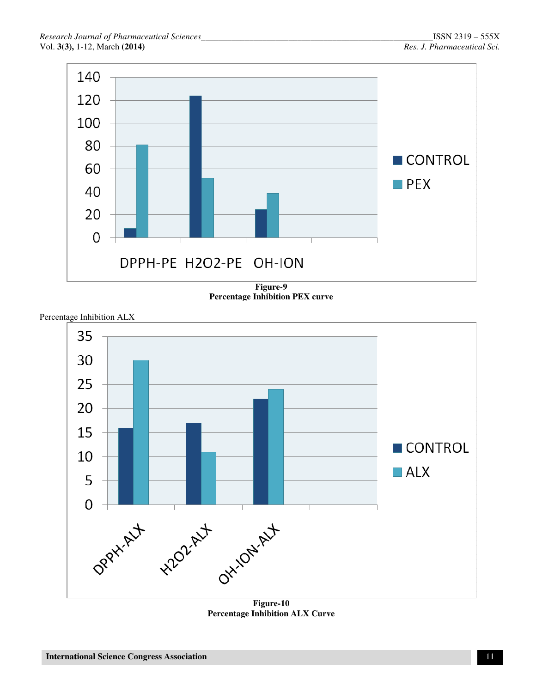

**Figure-9 Percentage Inhibition PEX curve** 

Percentage Inhibition ALX



**Figure-10 Percentage Inhibition ALX Curve**